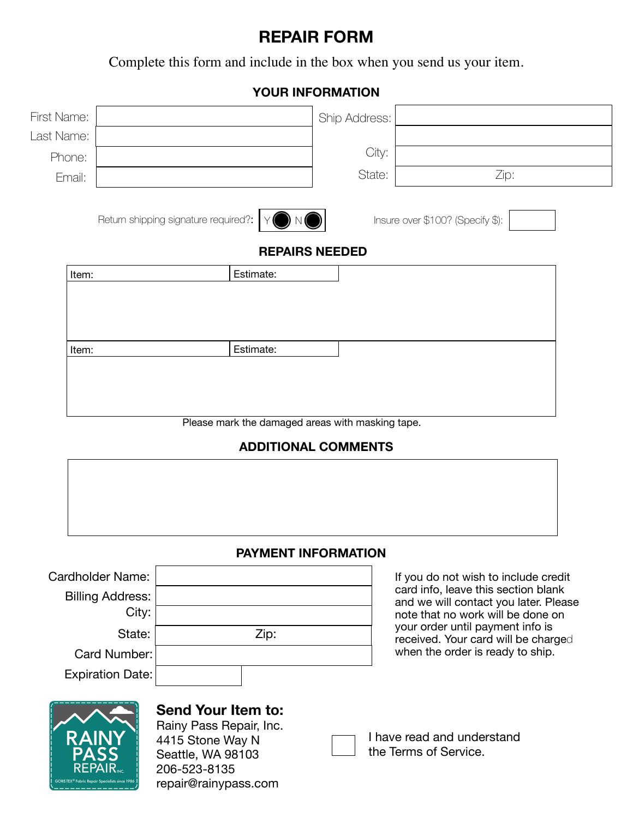# **REPAIR FORM**

Complete this form and include in the box when you send us your item.

### **YOUR INFORMATION**

| First Name:                                      |                                                                           |           | Ship Address: |                                                                            |  |  |
|--------------------------------------------------|---------------------------------------------------------------------------|-----------|---------------|----------------------------------------------------------------------------|--|--|
| Last Name:                                       |                                                                           |           |               |                                                                            |  |  |
| Phone:                                           |                                                                           |           | City:         |                                                                            |  |  |
| Email:                                           |                                                                           |           | State:        | Zip:                                                                       |  |  |
|                                                  | Return shipping signature required?:                                      |           |               | Insure over \$100? (Specify \$):                                           |  |  |
| <b>REPAIRS NEEDED</b>                            |                                                                           |           |               |                                                                            |  |  |
| Item:                                            |                                                                           | Estimate: |               |                                                                            |  |  |
|                                                  |                                                                           |           |               |                                                                            |  |  |
|                                                  |                                                                           |           |               |                                                                            |  |  |
| Item:                                            |                                                                           | Estimate: |               |                                                                            |  |  |
|                                                  |                                                                           |           |               |                                                                            |  |  |
|                                                  |                                                                           |           |               |                                                                            |  |  |
|                                                  |                                                                           |           |               |                                                                            |  |  |
| Please mark the damaged areas with masking tape. |                                                                           |           |               |                                                                            |  |  |
| <b>ADDITIONAL COMMENTS</b>                       |                                                                           |           |               |                                                                            |  |  |
|                                                  |                                                                           |           |               |                                                                            |  |  |
|                                                  |                                                                           |           |               |                                                                            |  |  |
|                                                  |                                                                           |           |               |                                                                            |  |  |
|                                                  |                                                                           |           |               |                                                                            |  |  |
| <b>PAYMENT INFORMATION</b>                       |                                                                           |           |               |                                                                            |  |  |
| Cardholder Name:                                 |                                                                           |           |               | If you do not wish to include credit                                       |  |  |
| <b>Billing Address:</b>                          |                                                                           |           |               | card info, leave this section blank                                        |  |  |
| City:                                            |                                                                           |           |               | and we will contact you later. Please<br>note that no work will be done on |  |  |
| State:                                           |                                                                           | Zip:      |               | your order until payment info is<br>received. Your card will be charged    |  |  |
| Card Number:                                     |                                                                           |           |               | when the order is ready to ship.                                           |  |  |
| <b>Expiration Date:</b>                          |                                                                           |           |               |                                                                            |  |  |
|                                                  |                                                                           |           |               |                                                                            |  |  |
|                                                  | <b>Send Your Item to:</b>                                                 |           |               |                                                                            |  |  |
| RAINY                                            | Rainy Pass Repair, Inc.<br>I have read and understand<br>4415 Stone Way N |           |               |                                                                            |  |  |
| <b>PASS</b>                                      | the Terms of Service.<br>Seattle, WA 98103                                |           |               |                                                                            |  |  |
|                                                  | 206-523-8135                                                              |           |               |                                                                            |  |  |
|                                                  | repair@rainypass.com                                                      |           |               |                                                                            |  |  |